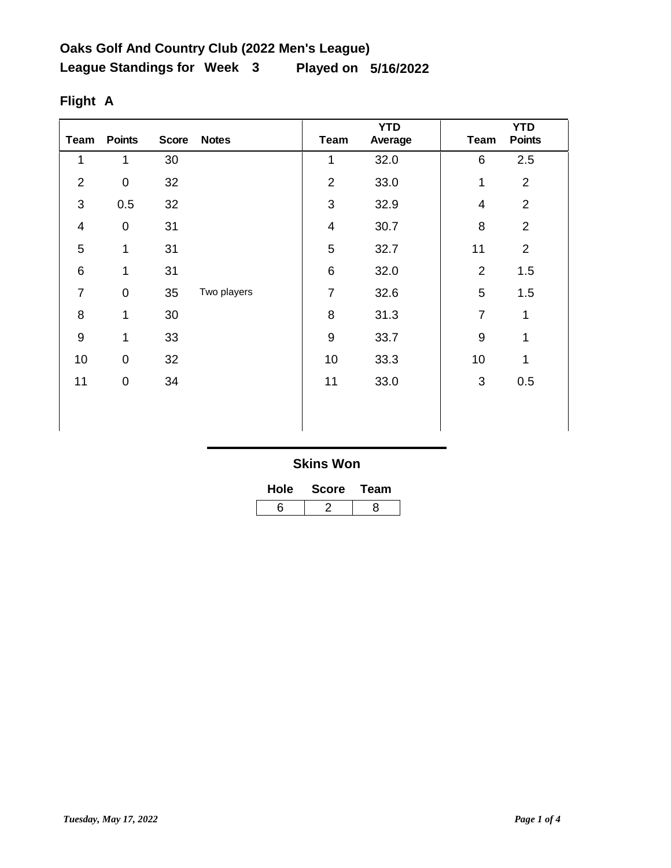| Team           | <b>Points</b>       | <b>Score</b> | <b>Notes</b> | <b>Team</b>             | <b>YTD</b><br>Average | <b>Team</b>    | <b>YTD</b><br><b>Points</b> |
|----------------|---------------------|--------------|--------------|-------------------------|-----------------------|----------------|-----------------------------|
| 1              | 1                   | 30           |              | 1                       | 32.0                  | 6              | 2.5                         |
| $\overline{2}$ | $\mathsf{O}\xspace$ | 32           |              | $\overline{2}$          | 33.0                  | 1              | $\overline{2}$              |
| $\mathbf{3}$   | 0.5                 | 32           |              | 3                       | 32.9                  | 4              | $\overline{2}$              |
| $\overline{4}$ | $\mathsf{O}\xspace$ | 31           |              | $\overline{\mathbf{4}}$ | 30.7                  | 8              | $\overline{2}$              |
| 5              | 1                   | 31           |              | 5                       | 32.7                  | 11             | $\overline{2}$              |
| $\,6$          | $\mathbf 1$         | 31           |              | $\,6$                   | 32.0                  | $\overline{2}$ | 1.5                         |
| $\overline{7}$ | $\mathsf{O}\xspace$ | 35           | Two players  | $\overline{7}$          | 32.6                  | 5              | 1.5                         |
| 8              | 1                   | 30           |              | 8                       | 31.3                  | $\overline{7}$ | $\mathbf{1}$                |
| $9\,$          | 1                   | 33           |              | 9                       | 33.7                  | $\overline{9}$ | 1                           |
| 10             | $\mathbf 0$         | 32           |              | 10                      | 33.3                  | 10             | 1                           |
| 11             | 0                   | 34           |              | 11                      | 33.0                  | 3              | 0.5                         |
|                |                     |              |              |                         |                       |                |                             |
|                |                     |              |              |                         |                       |                |                             |

# **Flight A**

| Hole | <b>Score</b> | Team |  |  |
|------|--------------|------|--|--|
| ี่ค  |              |      |  |  |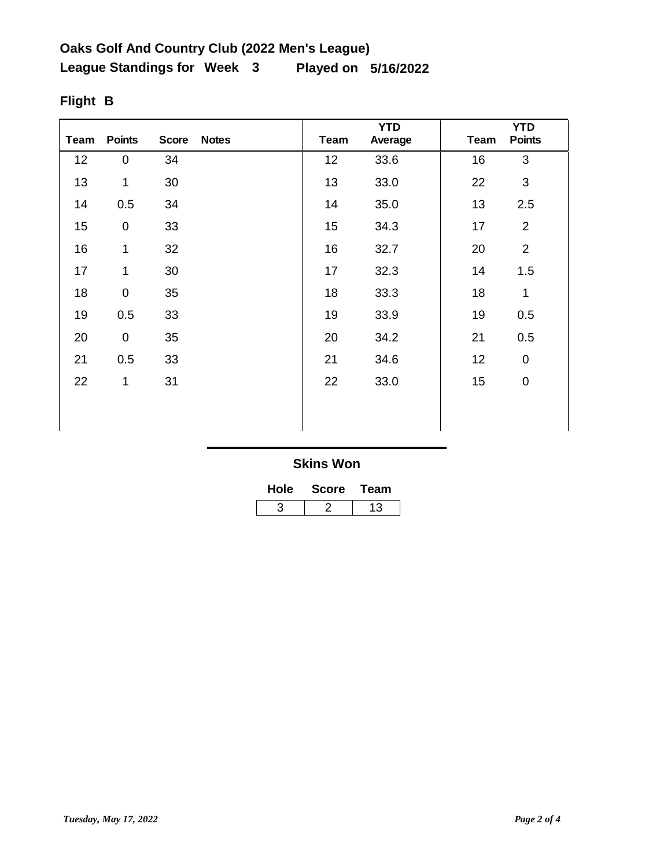| Team | <b>Points</b> | <b>Score</b> | <b>Notes</b> | <b>Team</b> | <b>YTD</b><br>Average | Team | <b>YTD</b><br><b>Points</b> |
|------|---------------|--------------|--------------|-------------|-----------------------|------|-----------------------------|
| 12   | $\pmb{0}$     | 34           |              | 12          | 33.6                  | 16   | $\mathbf{3}$                |
| 13   | $\mathbf{1}$  | 30           |              | 13          | 33.0                  | 22   | 3                           |
| 14   | 0.5           | 34           |              | 14          | 35.0                  | 13   | 2.5                         |
| 15   | $\mathbf 0$   | 33           |              | 15          | 34.3                  | 17   | $\overline{2}$              |
| 16   | 1             | 32           |              | 16          | 32.7                  | 20   | $\overline{2}$              |
| 17   | $\mathbf{1}$  | 30           |              | 17          | 32.3                  | 14   | 1.5                         |
| 18   | $\mathsf 0$   | 35           |              | 18          | 33.3                  | 18   | $\mathbf{1}$                |
| 19   | 0.5           | 33           |              | 19          | 33.9                  | 19   | 0.5                         |
| 20   | $\pmb{0}$     | 35           |              | 20          | 34.2                  | 21   | 0.5                         |
| 21   | 0.5           | 33           |              | 21          | 34.6                  | 12   | $\overline{0}$              |
| 22   | $\mathbf 1$   | 31           |              | 22          | 33.0                  | 15   | $\pmb{0}$                   |
|      |               |              |              |             |                       |      |                             |
|      |               |              |              |             |                       |      |                             |

# **Flight B**

| Hole | <b>Score</b> | Team |  |  |
|------|--------------|------|--|--|
|      |              | 13   |  |  |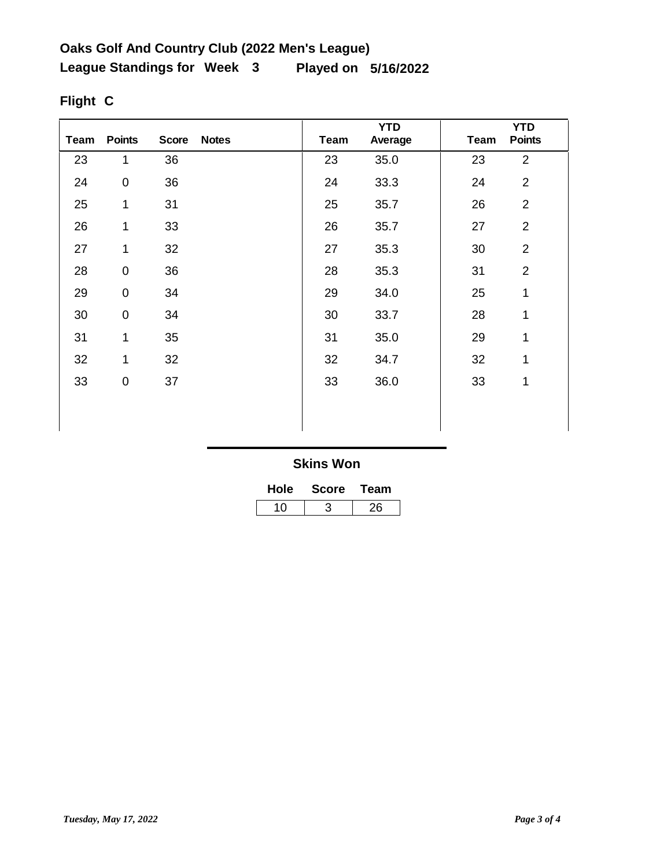| Team | <b>Points</b>       | <b>Score</b> | <b>Notes</b> | Team | <b>YTD</b><br>Average | Team | <b>YTD</b><br><b>Points</b> |
|------|---------------------|--------------|--------------|------|-----------------------|------|-----------------------------|
| 23   | 1                   | 36           |              | 23   | 35.0                  | 23   | $\overline{2}$              |
| 24   | $\mathsf{O}\xspace$ | 36           |              | 24   | 33.3                  | 24   | $\overline{2}$              |
| 25   | 1                   | 31           |              | 25   | 35.7                  | 26   | $\overline{2}$              |
| 26   | 1                   | 33           |              | 26   | 35.7                  | 27   | $\overline{2}$              |
| 27   | 1                   | 32           |              | 27   | 35.3                  | 30   | $\overline{2}$              |
| 28   | $\mathsf{O}\xspace$ | 36           |              | 28   | 35.3                  | 31   | $\overline{2}$              |
| 29   | $\mathsf{O}\xspace$ | 34           |              | 29   | 34.0                  | 25   | 1                           |
| 30   | $\mathsf{O}\xspace$ | 34           |              | 30   | 33.7                  | 28   | $\mathbf{1}$                |
| 31   | 1                   | 35           |              | 31   | 35.0                  | 29   | 1                           |
| 32   | 1                   | 32           |              | 32   | 34.7                  | 32   | 1                           |
| 33   | 0                   | 37           |              | 33   | 36.0                  | 33   | 1                           |
|      |                     |              |              |      |                       |      |                             |
|      |                     |              |              |      |                       |      |                             |

# **Flight C**

| <b>Hole</b> | <b>Score</b> | Team |  |  |
|-------------|--------------|------|--|--|
| 10          |              | 26   |  |  |